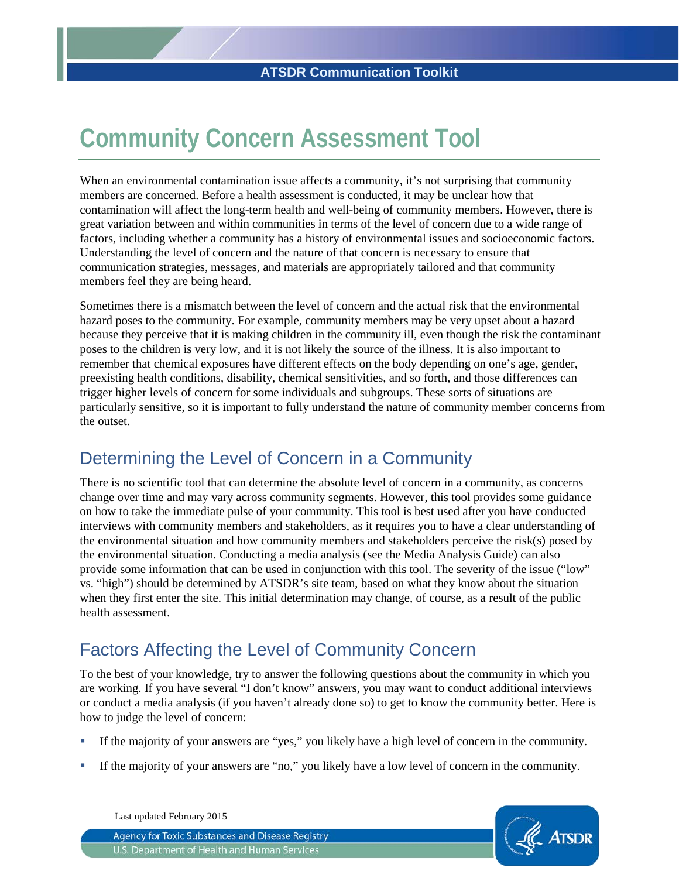# **Community Concern Assessment Tool**

When an environmental contamination issue affects a community, it's not surprising that community members are concerned. Before a health assessment is conducted, it may be unclear how that contamination will affect the long-term health and well-being of community members. However, there is great variation between and within communities in terms of the level of concern due to a wide range of factors, including whether a community has a history of environmental issues and socioeconomic factors. Understanding the level of concern and the nature of that concern is necessary to ensure that communication strategies, messages, and materials are appropriately tailored and that community members feel they are being heard.

Sometimes there is a mismatch between the level of concern and the actual risk that the environmental hazard poses to the community. For example, community members may be very upset about a hazard because they perceive that it is making children in the community ill, even though the risk the contaminant poses to the children is very low, and it is not likely the source of the illness. It is also important to remember that chemical exposures have different effects on the body depending on one's age, gender, preexisting health conditions, disability, chemical sensitivities, and so forth, and those differences can trigger higher levels of concern for some individuals and subgroups. These sorts of situations are particularly sensitive, so it is important to fully understand the nature of community member concerns from the outset.

## Determining the Level of Concern in a Community

There is no scientific tool that can determine the absolute level of concern in a community, as concerns change over time and may vary across community segments. However, this tool provides some guidance on how to take the immediate pulse of your community. This tool is best used after you have conducted interviews with community members and stakeholders, as it requires you to have a clear understanding of the environmental situation and how community members and stakeholders perceive the risk(s) posed by the environmental situation. Conducting a media analysis (see the Media Analysis Guide) can also provide some information that can be used in conjunction with this tool. The severity of the issue ("low" vs. "high") should be determined by ATSDR's site team, based on what they know about the situation when they first enter the site. This initial determination may change, of course, as a result of the public health assessment.

## Factors Affecting the Level of Community Concern

To the best of your knowledge, try to answer the following questions about the community in which you are working. If you have several "I don't know" answers, you may want to conduct additional interviews or conduct a media analysis (if you haven't already done so) to get to know the community better. Here is how to judge the level of concern:

- If the majority of your answers are "yes," you likely have a high level of concern in the community.
- If the majority of your answers are "no," you likely have a low level of concern in the community.

Last updated February 2015



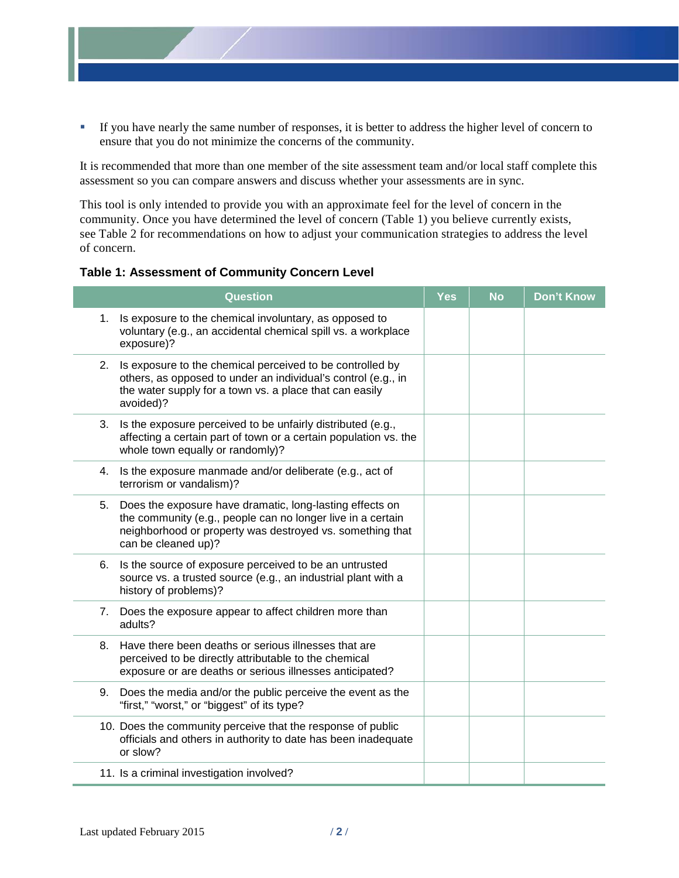- - If you have nearly the same number of responses, it is better to address the higher level of concern to ensure that you do not minimize the concerns of the community.

It is recommended that more than one member of the site assessment team and/or local staff complete this assessment so you can compare answers and discuss whether your assessments are in sync.

This tool is only intended to provide you with an approximate feel for the level of concern in the community. Once you have determined the level of concern (Table 1) you believe currently exists, see Table 2 for recommendations on how to adjust your communication strategies to address the level of concern.

#### **Table 1: Assessment of Community Concern Level**

| <b>Question</b>                           |                                                                                                                                                                                       | <b>Yes</b> | <b>No</b> | <b>Don't Know</b> |
|-------------------------------------------|---------------------------------------------------------------------------------------------------------------------------------------------------------------------------------------|------------|-----------|-------------------|
| 1.<br>exposure)?                          | Is exposure to the chemical involuntary, as opposed to<br>voluntary (e.g., an accidental chemical spill vs. a workplace                                                               |            |           |                   |
| 2.<br>avoided)?                           | Is exposure to the chemical perceived to be controlled by<br>others, as opposed to under an individual's control (e.g., in<br>the water supply for a town vs. a place that can easily |            |           |                   |
| 3.<br>whole town equally or randomly)?    | Is the exposure perceived to be unfairly distributed (e.g.,<br>affecting a certain part of town or a certain population vs. the                                                       |            |           |                   |
| 4.<br>terrorism or vandalism)?            | Is the exposure manmade and/or deliberate (e.g., act of                                                                                                                               |            |           |                   |
| 5.<br>can be cleaned up)?                 | Does the exposure have dramatic, long-lasting effects on<br>the community (e.g., people can no longer live in a certain<br>neighborhood or property was destroyed vs. something that  |            |           |                   |
| 6.<br>history of problems)?               | Is the source of exposure perceived to be an untrusted<br>source vs. a trusted source (e.g., an industrial plant with a                                                               |            |           |                   |
| 7.<br>adults?                             | Does the exposure appear to affect children more than                                                                                                                                 |            |           |                   |
| 8.                                        | Have there been deaths or serious illnesses that are<br>perceived to be directly attributable to the chemical<br>exposure or are deaths or serious illnesses anticipated?             |            |           |                   |
| 9.                                        | Does the media and/or the public perceive the event as the<br>"first," "worst," or "biggest" of its type?                                                                             |            |           |                   |
| or slow?                                  | 10. Does the community perceive that the response of public<br>officials and others in authority to date has been inadequate                                                          |            |           |                   |
| 11. Is a criminal investigation involved? |                                                                                                                                                                                       |            |           |                   |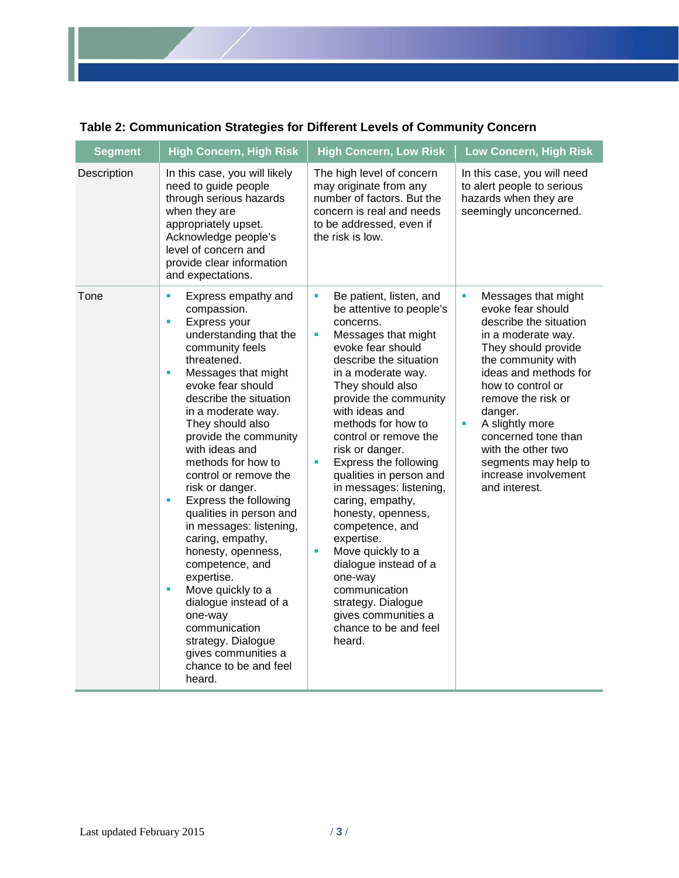

### **Table 2: Communication Strategies for Different Levels of Community Concern**

| <b>Segment</b> | <b>High Concern, High Risk</b>                                                                                                                                                                                                                                                                                                                                                                                                                                                                                                                                                                                                                                                             | <b>High Concern, Low Risk</b>                                                                                                                                                                                                                                                                                                                                                                                                                                                                                                                                                                                                                  | <b>Low Concern, High Risk</b>                                                                                                                                                                                                                                                                                                                                                |
|----------------|--------------------------------------------------------------------------------------------------------------------------------------------------------------------------------------------------------------------------------------------------------------------------------------------------------------------------------------------------------------------------------------------------------------------------------------------------------------------------------------------------------------------------------------------------------------------------------------------------------------------------------------------------------------------------------------------|------------------------------------------------------------------------------------------------------------------------------------------------------------------------------------------------------------------------------------------------------------------------------------------------------------------------------------------------------------------------------------------------------------------------------------------------------------------------------------------------------------------------------------------------------------------------------------------------------------------------------------------------|------------------------------------------------------------------------------------------------------------------------------------------------------------------------------------------------------------------------------------------------------------------------------------------------------------------------------------------------------------------------------|
| Description    | In this case, you will likely<br>need to guide people<br>through serious hazards<br>when they are<br>appropriately upset.<br>Acknowledge people's<br>level of concern and<br>provide clear information<br>and expectations.                                                                                                                                                                                                                                                                                                                                                                                                                                                                | The high level of concern<br>may originate from any<br>number of factors. But the<br>concern is real and needs<br>to be addressed, even if<br>the risk is low.                                                                                                                                                                                                                                                                                                                                                                                                                                                                                 | In this case, you will need<br>to alert people to serious<br>hazards when they are<br>seemingly unconcerned.                                                                                                                                                                                                                                                                 |
| Tone           | Express empathy and<br>ш<br>compassion.<br>Express your<br>u,<br>understanding that the<br>community feels<br>threatened.<br>Messages that might<br>ш<br>evoke fear should<br>describe the situation<br>in a moderate way.<br>They should also<br>provide the community<br>with ideas and<br>methods for how to<br>control or remove the<br>risk or danger.<br>Express the following<br>Ű,<br>qualities in person and<br>in messages: listening,<br>caring, empathy,<br>honesty, openness,<br>competence, and<br>expertise.<br>Move quickly to a<br>×<br>dialogue instead of a<br>one-way<br>communication<br>strategy. Dialogue<br>gives communities a<br>chance to be and feel<br>heard. | Be patient, listen, and<br>a,<br>be attentive to people's<br>concerns.<br>×,<br>Messages that might<br>evoke fear should<br>describe the situation<br>in a moderate way.<br>They should also<br>provide the community<br>with ideas and<br>methods for how to<br>control or remove the<br>risk or danger.<br>Express the following<br>×<br>qualities in person and<br>in messages: listening,<br>caring, empathy,<br>honesty, openness,<br>competence, and<br>expertise.<br>Move quickly to a<br><b>M</b><br>dialogue instead of a<br>one-way<br>communication<br>strategy. Dialogue<br>gives communities a<br>chance to be and feel<br>heard. | Messages that might<br>ш<br>evoke fear should<br>describe the situation<br>in a moderate way.<br>They should provide<br>the community with<br>ideas and methods for<br>how to control or<br>remove the risk or<br>danger.<br>A slightly more<br>$\blacksquare$<br>concerned tone than<br>with the other two<br>segments may help to<br>increase involvement<br>and interest. |